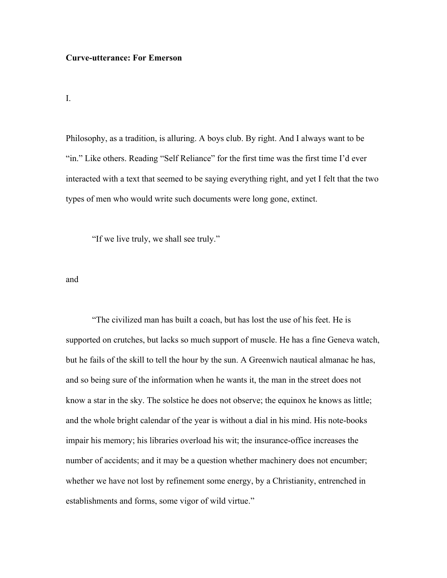## **Curve-utterance: For Emerson**

I.

Philosophy, as a tradition, is alluring. A boys club. By right. And I always want to be "in." Like others. Reading "Self Reliance" for the first time was the first time I'd ever interacted with a text that seemed to be saying everything right, and yet I felt that the two types of men who would write such documents were long gone, extinct.

"If we live truly, we shall see truly."

and

 "The civilized man has built a coach, but has lost the use of his feet. He is supported on crutches, but lacks so much support of muscle. He has a fine Geneva watch, but he fails of the skill to tell the hour by the sun. A Greenwich nautical almanac he has, and so being sure of the information when he wants it, the man in the street does not know a star in the sky. The solstice he does not observe; the equinox he knows as little; and the whole bright calendar of the year is without a dial in his mind. His note-books impair his memory; his libraries overload his wit; the insurance-office increases the number of accidents; and it may be a question whether machinery does not encumber; whether we have not lost by refinement some energy, by a Christianity, entrenched in establishments and forms, some vigor of wild virtue."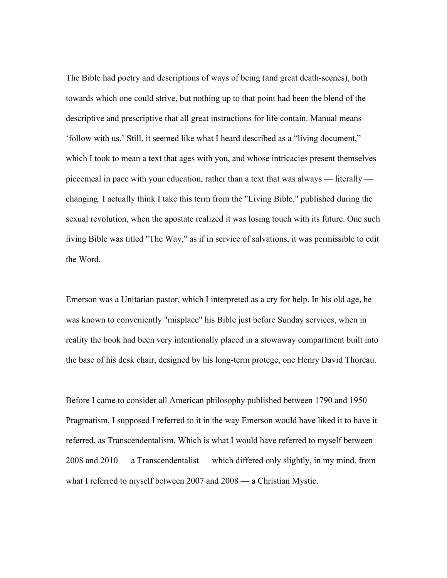The Bible had poetry and descriptions of ways of being (and great death-scenes), both towards which one could strive, but nothing up to that point had been the blend of the descriptive and prescriptive that all great instructions for life contain. Manual means 'follow with us.' Still, it seemed like what I heard described as a "living document," which I took to mean a text that ages with you, and whose intricacies present themselves piecemeal in pace with your education, rather than a text that was always — literally changing. I actually think I take this term from the "Living Bible," published during the sexual revolution, when the apostate realized it was losing touch with its future. One such living Bible was titled "The Way," as if in service of salvations, it was permissible to edit the Word.

Emerson was a Unitarian pastor, which I interpreted as a cry for help. In his old age, he was known to conveniently "misplace" his Bible just before Sunday services, when in reality the book had been very intentionally placed in a stowaway compartment built into the base of his desk chair, designed by his long-term protege, one Henry David Thoreau.

Before I came to consider all American philosophy published between 1790 and 1950 Pragmatism, I supposed I referred to it in the way Emerson would have liked it to have it referred, as Transcendentalism. Which is what I would have referred to myself between 2008 and 2010 — a Transcendentalist — which differed only slightly, in my mind, from what I referred to myself between 2007 and 2008 — a Christian Mystic.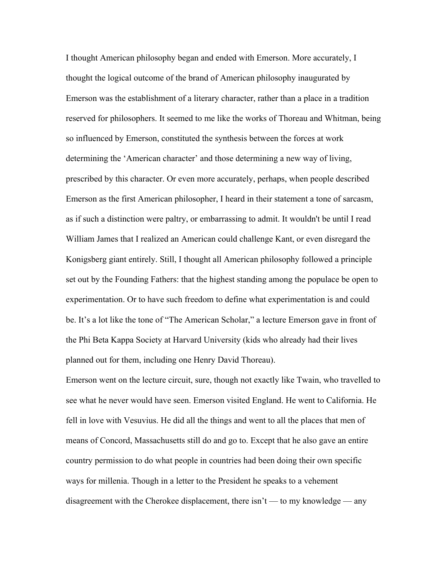I thought American philosophy began and ended with Emerson. More accurately, I thought the logical outcome of the brand of American philosophy inaugurated by Emerson was the establishment of a literary character, rather than a place in a tradition reserved for philosophers. It seemed to me like the works of Thoreau and Whitman, being so influenced by Emerson, constituted the synthesis between the forces at work determining the 'American character' and those determining a new way of living, prescribed by this character. Or even more accurately, perhaps, when people described Emerson as the first American philosopher, I heard in their statement a tone of sarcasm, as if such a distinction were paltry, or embarrassing to admit. It wouldn't be until I read William James that I realized an American could challenge Kant, or even disregard the Konigsberg giant entirely. Still, I thought all American philosophy followed a principle set out by the Founding Fathers: that the highest standing among the populace be open to experimentation. Or to have such freedom to define what experimentation is and could be. It's a lot like the tone of "The American Scholar," a lecture Emerson gave in front of the Phi Beta Kappa Society at Harvard University (kids who already had their lives planned out for them, including one Henry David Thoreau).

Emerson went on the lecture circuit, sure, though not exactly like Twain, who travelled to see what he never would have seen. Emerson visited England. He went to California. He fell in love with Vesuvius. He did all the things and went to all the places that men of means of Concord, Massachusetts still do and go to. Except that he also gave an entire country permission to do what people in countries had been doing their own specific ways for millenia. Though in a letter to the President he speaks to a vehement disagreement with the Cherokee displacement, there isn't — to my knowledge — any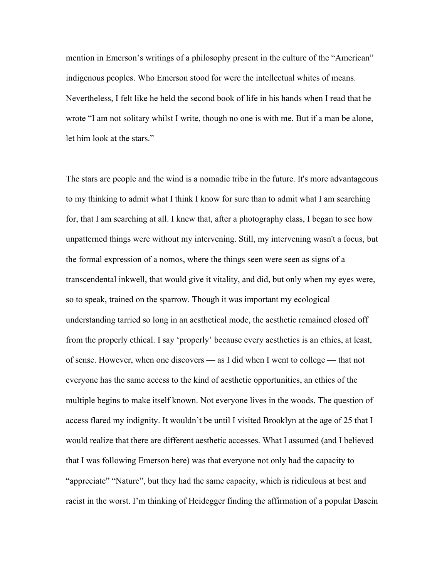mention in Emerson's writings of a philosophy present in the culture of the "American" indigenous peoples. Who Emerson stood for were the intellectual whites of means. Nevertheless, I felt like he held the second book of life in his hands when I read that he wrote "I am not solitary whilst I write, though no one is with me. But if a man be alone, let him look at the stars."

The stars are people and the wind is a nomadic tribe in the future. It's more advantageous to my thinking to admit what I think I know for sure than to admit what I am searching for, that I am searching at all. I knew that, after a photography class, I began to see how unpatterned things were without my intervening. Still, my intervening wasn't a focus, but the formal expression of a nomos, where the things seen were seen as signs of a transcendental inkwell, that would give it vitality, and did, but only when my eyes were, so to speak, trained on the sparrow. Though it was important my ecological understanding tarried so long in an aesthetical mode, the aesthetic remained closed off from the properly ethical. I say 'properly' because every aesthetics is an ethics, at least, of sense. However, when one discovers — as I did when I went to college — that not everyone has the same access to the kind of aesthetic opportunities, an ethics of the multiple begins to make itself known. Not everyone lives in the woods. The question of access flared my indignity. It wouldn't be until I visited Brooklyn at the age of 25 that I would realize that there are different aesthetic accesses. What I assumed (and I believed that I was following Emerson here) was that everyone not only had the capacity to "appreciate" "Nature", but they had the same capacity, which is ridiculous at best and racist in the worst. I'm thinking of Heidegger finding the affirmation of a popular Dasein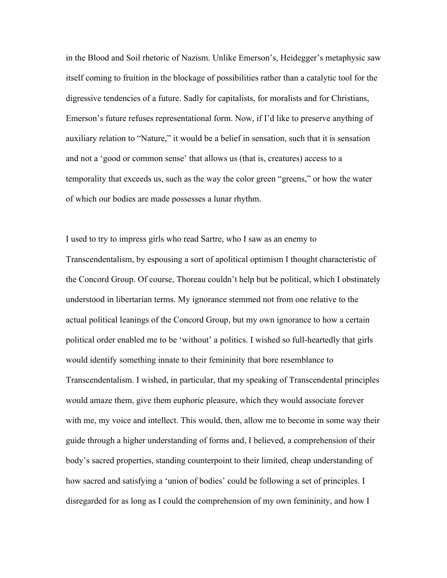in the Blood and Soil rhetoric of Nazism. Unlike Emerson's, Heidegger's metaphysic saw itself coming to fruition in the blockage of possibilities rather than a catalytic tool for the digressive tendencies of a future. Sadly for capitalists, for moralists and for Christians, Emerson's future refuses representational form. Now, if I'd like to preserve anything of auxiliary relation to "Nature," it would be a belief in sensation, such that it is sensation and not a 'good or common sense' that allows us (that is, creatures) access to a temporality that exceeds us, such as the way the color green "greens," or how the water of which our bodies are made possesses a lunar rhythm.

I used to try to impress girls who read Sartre, who I saw as an enemy to Transcendentalism, by espousing a sort of apolitical optimism I thought characteristic of the Concord Group. Of course, Thoreau couldn't help but be political, which I obstinately understood in libertarian terms. My ignorance stemmed not from one relative to the actual political leanings of the Concord Group, but my own ignorance to how a certain political order enabled me to be 'without' a politics. I wished so full-heartedly that girls would identify something innate to their femininity that bore resemblance to Transcendentalism. I wished, in particular, that my speaking of Transcendental principles would amaze them, give them euphoric pleasure, which they would associate forever with me, my voice and intellect. This would, then, allow me to become in some way their guide through a higher understanding of forms and, I believed, a comprehension of their body's sacred properties, standing counterpoint to their limited, cheap understanding of how sacred and satisfying a 'union of bodies' could be following a set of principles. I disregarded for as long as I could the comprehension of my own femininity, and how I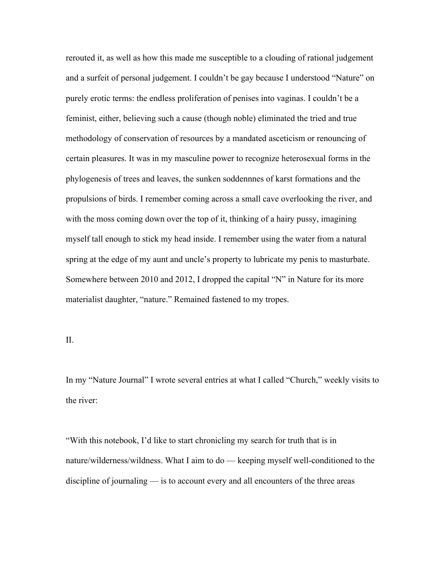rerouted it, as well as how this made me susceptible to a clouding of rational judgement and a surfeit of personal judgement. I couldn't be gay because I understood "Nature" on purely erotic terms: the endless proliferation of penises into vaginas. I couldn't be a feminist, either, believing such a cause (though noble) eliminated the tried and true methodology of conservation of resources by a mandated asceticism or renouncing of certain pleasures. It was in my masculine power to recognize heterosexual forms in the phylogenesis of trees and leaves, the sunken soddennnes of karst formations and the propulsions of birds. I remember coming across a small cave overlooking the river, and with the moss coming down over the top of it, thinking of a hairy pussy, imagining myself tall enough to stick my head inside. I remember using the water from a natural spring at the edge of my aunt and uncle's property to lubricate my penis to masturbate. Somewhere between 2010 and 2012, I dropped the capital "N" in Nature for its more materialist daughter, "nature." Remained fastened to my tropes.

II.

In my "Nature Journal" I wrote several entries at what I called "Church," weekly visits to the river:

"With this notebook, I'd like to start chronicling my search for truth that is in nature/wilderness/wildness. What I aim to do — keeping myself well-conditioned to the discipline of journaling — is to account every and all encounters of the three areas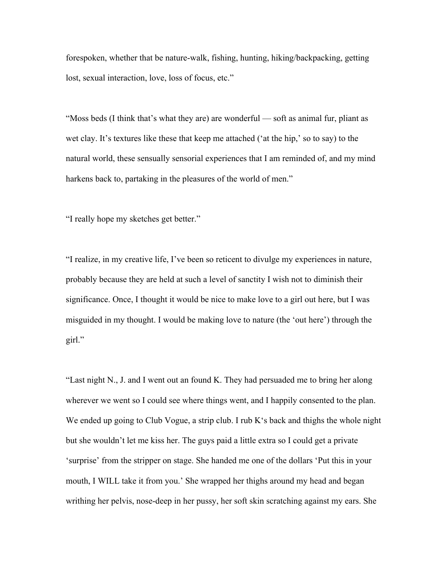forespoken, whether that be nature-walk, fishing, hunting, hiking/backpacking, getting lost, sexual interaction, love, loss of focus, etc."

"Moss beds (I think that's what they are) are wonderful — soft as animal fur, pliant as wet clay. It's textures like these that keep me attached ('at the hip,' so to say) to the natural world, these sensually sensorial experiences that I am reminded of, and my mind harkens back to, partaking in the pleasures of the world of men."

"I really hope my sketches get better."

"I realize, in my creative life, I've been so reticent to divulge my experiences in nature, probably because they are held at such a level of sanctity I wish not to diminish their significance. Once, I thought it would be nice to make love to a girl out here, but I was misguided in my thought. I would be making love to nature (the 'out here') through the girl."

"Last night N., J. and I went out an found K. They had persuaded me to bring her along wherever we went so I could see where things went, and I happily consented to the plan. We ended up going to Club Vogue, a strip club. I rub K's back and thighs the whole night but she wouldn't let me kiss her. The guys paid a little extra so I could get a private 'surprise' from the stripper on stage. She handed me one of the dollars 'Put this in your mouth, I WILL take it from you.' She wrapped her thighs around my head and began writhing her pelvis, nose-deep in her pussy, her soft skin scratching against my ears. She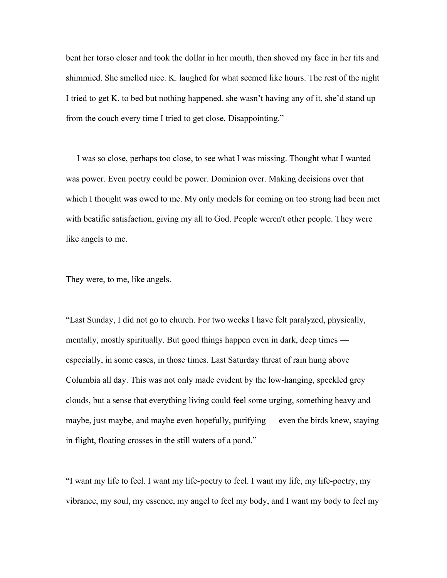bent her torso closer and took the dollar in her mouth, then shoved my face in her tits and shimmied. She smelled nice. K. laughed for what seemed like hours. The rest of the night I tried to get K. to bed but nothing happened, she wasn't having any of it, she'd stand up from the couch every time I tried to get close. Disappointing."

— I was so close, perhaps too close, to see what I was missing. Thought what I wanted was power. Even poetry could be power. Dominion over. Making decisions over that which I thought was owed to me. My only models for coming on too strong had been met with beatific satisfaction, giving my all to God. People weren't other people. They were like angels to me.

They were, to me, like angels.

"Last Sunday, I did not go to church. For two weeks I have felt paralyzed, physically, mentally, mostly spiritually. But good things happen even in dark, deep times especially, in some cases, in those times. Last Saturday threat of rain hung above Columbia all day. This was not only made evident by the low-hanging, speckled grey clouds, but a sense that everything living could feel some urging, something heavy and maybe, just maybe, and maybe even hopefully, purifying — even the birds knew, staying in flight, floating crosses in the still waters of a pond."

"I want my life to feel. I want my life-poetry to feel. I want my life, my life-poetry, my vibrance, my soul, my essence, my angel to feel my body, and I want my body to feel my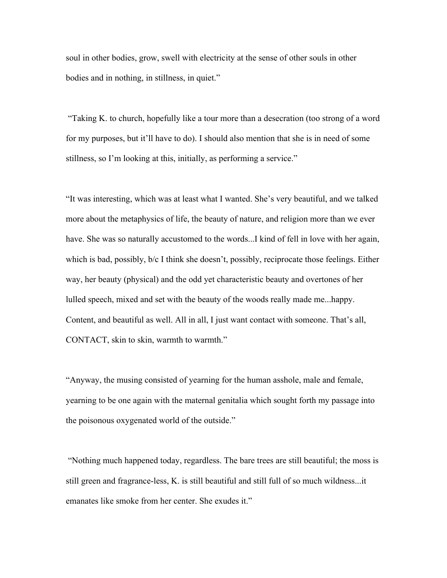soul in other bodies, grow, swell with electricity at the sense of other souls in other bodies and in nothing, in stillness, in quiet."

 "Taking K. to church, hopefully like a tour more than a desecration (too strong of a word for my purposes, but it'll have to do). I should also mention that she is in need of some stillness, so I'm looking at this, initially, as performing a service."

"It was interesting, which was at least what I wanted. She's very beautiful, and we talked more about the metaphysics of life, the beauty of nature, and religion more than we ever have. She was so naturally accustomed to the words...I kind of fell in love with her again, which is bad, possibly, b/c I think she doesn't, possibly, reciprocate those feelings. Either way, her beauty (physical) and the odd yet characteristic beauty and overtones of her lulled speech, mixed and set with the beauty of the woods really made me...happy. Content, and beautiful as well. All in all, I just want contact with someone. That's all, CONTACT, skin to skin, warmth to warmth."

"Anyway, the musing consisted of yearning for the human asshole, male and female, yearning to be one again with the maternal genitalia which sought forth my passage into the poisonous oxygenated world of the outside."

 "Nothing much happened today, regardless. The bare trees are still beautiful; the moss is still green and fragrance-less, K. is still beautiful and still full of so much wildness...it emanates like smoke from her center. She exudes it."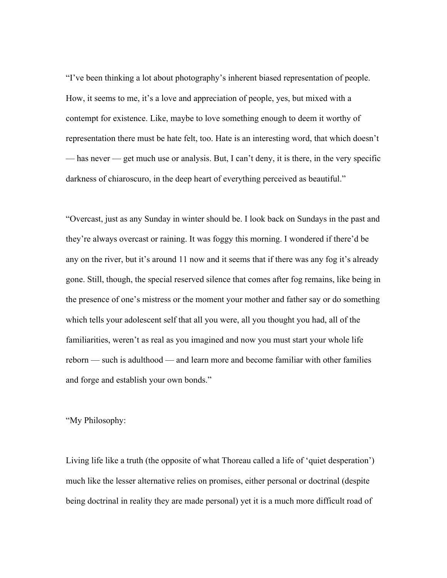"I've been thinking a lot about photography's inherent biased representation of people. How, it seems to me, it's a love and appreciation of people, yes, but mixed with a contempt for existence. Like, maybe to love something enough to deem it worthy of representation there must be hate felt, too. Hate is an interesting word, that which doesn't — has never — get much use or analysis. But, I can't deny, it is there, in the very specific darkness of chiaroscuro, in the deep heart of everything perceived as beautiful."

"Overcast, just as any Sunday in winter should be. I look back on Sundays in the past and they're always overcast or raining. It was foggy this morning. I wondered if there'd be any on the river, but it's around 11 now and it seems that if there was any fog it's already gone. Still, though, the special reserved silence that comes after fog remains, like being in the presence of one's mistress or the moment your mother and father say or do something which tells your adolescent self that all you were, all you thought you had, all of the familiarities, weren't as real as you imagined and now you must start your whole life reborn — such is adulthood — and learn more and become familiar with other families and forge and establish your own bonds."

"My Philosophy:

Living life like a truth (the opposite of what Thoreau called a life of 'quiet desperation') much like the lesser alternative relies on promises, either personal or doctrinal (despite being doctrinal in reality they are made personal) yet it is a much more difficult road of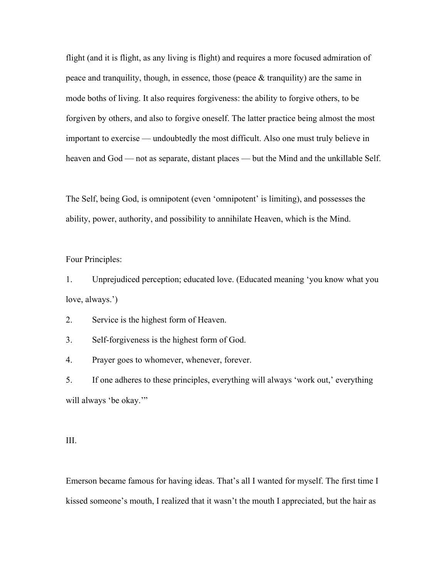flight (and it is flight, as any living is flight) and requires a more focused admiration of peace and tranquility, though, in essence, those (peace & tranquility) are the same in mode boths of living. It also requires forgiveness: the ability to forgive others, to be forgiven by others, and also to forgive oneself. The latter practice being almost the most important to exercise — undoubtedly the most difficult. Also one must truly believe in heaven and God — not as separate, distant places — but the Mind and the unkillable Self.

The Self, being God, is omnipotent (even 'omnipotent' is limiting), and possesses the ability, power, authority, and possibility to annihilate Heaven, which is the Mind.

Four Principles:

1. Unprejudiced perception; educated love. (Educated meaning 'you know what you love, always.')

2. Service is the highest form of Heaven.

3. Self-forgiveness is the highest form of God.

4. Prayer goes to whomever, whenever, forever.

5. If one adheres to these principles, everything will always 'work out,' everything will always 'be okay."

III.

Emerson became famous for having ideas. That's all I wanted for myself. The first time I kissed someone's mouth, I realized that it wasn't the mouth I appreciated, but the hair as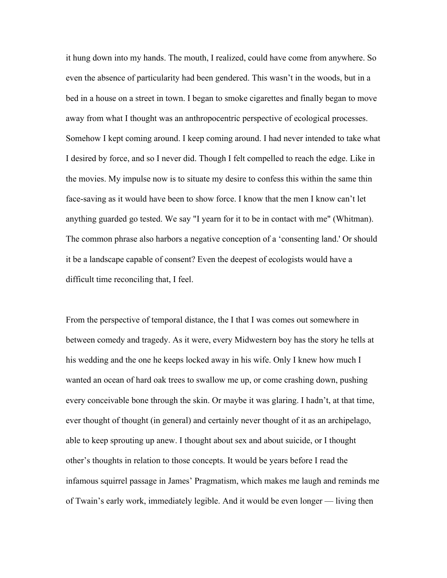it hung down into my hands. The mouth, I realized, could have come from anywhere. So even the absence of particularity had been gendered. This wasn't in the woods, but in a bed in a house on a street in town. I began to smoke cigarettes and finally began to move away from what I thought was an anthropocentric perspective of ecological processes. Somehow I kept coming around. I keep coming around. I had never intended to take what I desired by force, and so I never did. Though I felt compelled to reach the edge. Like in the movies. My impulse now is to situate my desire to confess this within the same thin face-saving as it would have been to show force. I know that the men I know can't let anything guarded go tested. We say "I yearn for it to be in contact with me" (Whitman). The common phrase also harbors a negative conception of a 'consenting land.' Or should it be a landscape capable of consent? Even the deepest of ecologists would have a difficult time reconciling that, I feel.

From the perspective of temporal distance, the I that I was comes out somewhere in between comedy and tragedy. As it were, every Midwestern boy has the story he tells at his wedding and the one he keeps locked away in his wife. Only I knew how much I wanted an ocean of hard oak trees to swallow me up, or come crashing down, pushing every conceivable bone through the skin. Or maybe it was glaring. I hadn't, at that time, ever thought of thought (in general) and certainly never thought of it as an archipelago, able to keep sprouting up anew. I thought about sex and about suicide, or I thought other's thoughts in relation to those concepts. It would be years before I read the infamous squirrel passage in James' Pragmatism, which makes me laugh and reminds me of Twain's early work, immediately legible. And it would be even longer — living then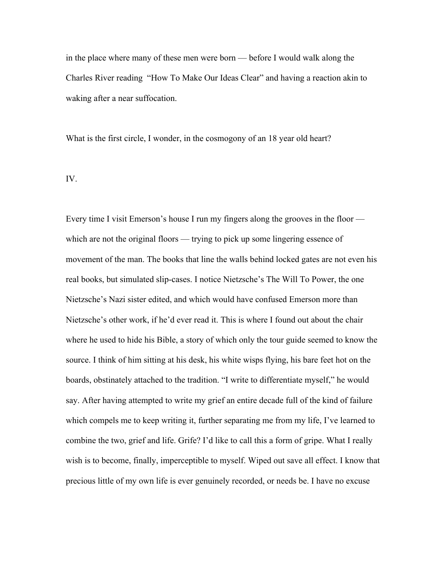in the place where many of these men were born — before I would walk along the Charles River reading "How To Make Our Ideas Clear" and having a reaction akin to waking after a near suffocation.

What is the first circle, I wonder, in the cosmogony of an 18 year old heart?

IV.

Every time I visit Emerson's house I run my fingers along the grooves in the floor which are not the original floors — trying to pick up some lingering essence of movement of the man. The books that line the walls behind locked gates are not even his real books, but simulated slip-cases. I notice Nietzsche's The Will To Power, the one Nietzsche's Nazi sister edited, and which would have confused Emerson more than Nietzsche's other work, if he'd ever read it. This is where I found out about the chair where he used to hide his Bible, a story of which only the tour guide seemed to know the source. I think of him sitting at his desk, his white wisps flying, his bare feet hot on the boards, obstinately attached to the tradition. "I write to differentiate myself," he would say. After having attempted to write my grief an entire decade full of the kind of failure which compels me to keep writing it, further separating me from my life, I've learned to combine the two, grief and life. Grife? I'd like to call this a form of gripe. What I really wish is to become, finally, imperceptible to myself. Wiped out save all effect. I know that precious little of my own life is ever genuinely recorded, or needs be. I have no excuse